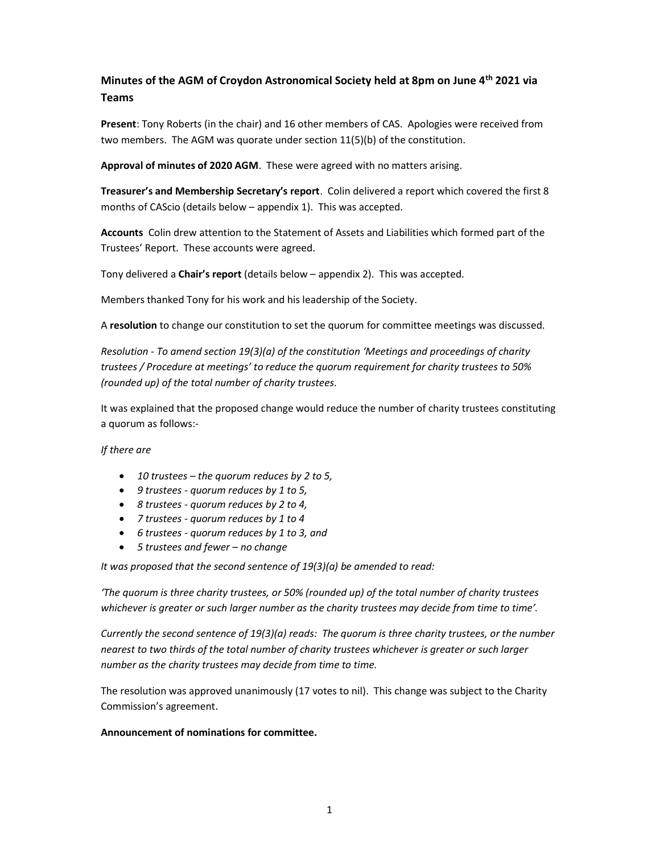## Minutes of the AGM of Croydon Astronomical Society held at 8pm on June 4th 2021 via Teams

Present: Tony Roberts (in the chair) and 16 other members of CAS. Apologies were received from two members. The AGM was quorate under section 11(5)(b) of the constitution.

Approval of minutes of 2020 AGM. These were agreed with no matters arising.

Treasurer's and Membership Secretary's report. Colin delivered a report which covered the first 8 months of CAScio (details below – appendix 1). This was accepted.

Accounts Colin drew attention to the Statement of Assets and Liabilities which formed part of the Trustees' Report. These accounts were agreed.

Tony delivered a Chair's report (details below – appendix 2). This was accepted.

Members thanked Tony for his work and his leadership of the Society.

A resolution to change our constitution to set the quorum for committee meetings was discussed.

Resolution - To amend section 19(3)(a) of the constitution 'Meetings and proceedings of charity trustees / Procedure at meetings' to reduce the quorum requirement for charity trustees to 50% (rounded up) of the total number of charity trustees.

It was explained that the proposed change would reduce the number of charity trustees constituting a quorum as follows:-

If there are

- $\bullet$  10 trustees the quorum reduces by 2 to 5,
- 9 trustees quorum reduces by 1 to 5,
- 8 trustees quorum reduces by 2 to 4,
- 7 trustees quorum reduces by 1 to 4
- 6 trustees quorum reduces by 1 to 3, and
- 5 trustees and fewer no change

It was proposed that the second sentence of 19(3)(a) be amended to read:

'The quorum is three charity trustees, or 50% (rounded up) of the total number of charity trustees whichever is greater or such larger number as the charity trustees may decide from time to time'.

Currently the second sentence of 19(3)(a) reads: The quorum is three charity trustees, or the number nearest to two thirds of the total number of charity trustees whichever is greater or such larger number as the charity trustees may decide from time to time.

The resolution was approved unanimously (17 votes to nil). This change was subject to the Charity Commission's agreement.

## Announcement of nominations for committee.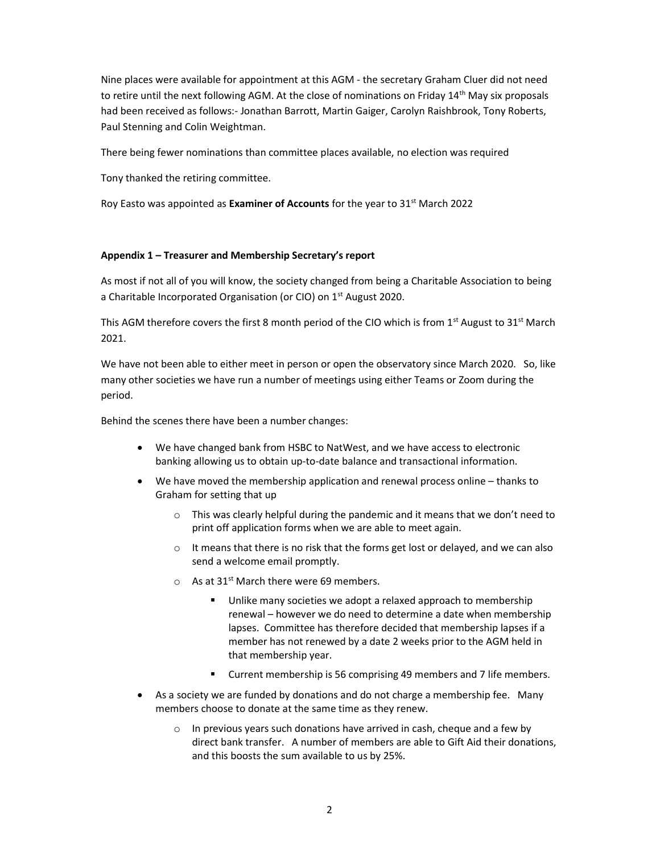Nine places were available for appointment at this AGM - the secretary Graham Cluer did not need to retire until the next following AGM. At the close of nominations on Friday 14<sup>th</sup> May six proposals had been received as follows:- Jonathan Barrott, Martin Gaiger, Carolyn Raishbrook, Tony Roberts, Paul Stenning and Colin Weightman.

There being fewer nominations than committee places available, no election was required

Tony thanked the retiring committee.

Roy Easto was appointed as **Examiner of Accounts** for the year to  $31<sup>st</sup>$  March 2022

## Appendix 1 – Treasurer and Membership Secretary's report

As most if not all of you will know, the society changed from being a Charitable Association to being a Charitable Incorporated Organisation (or CIO) on 1<sup>st</sup> August 2020.

This AGM therefore covers the first 8 month period of the CIO which is from 1<sup>st</sup> August to 31<sup>st</sup> March 2021.

We have not been able to either meet in person or open the observatory since March 2020. So, like many other societies we have run a number of meetings using either Teams or Zoom during the period.

Behind the scenes there have been a number changes:

- We have changed bank from HSBC to NatWest, and we have access to electronic banking allowing us to obtain up-to-date balance and transactional information.
- We have moved the membership application and renewal process online thanks to Graham for setting that up
	- $\circ$  This was clearly helpful during the pandemic and it means that we don't need to print off application forms when we are able to meet again.
	- $\circ$  It means that there is no risk that the forms get lost or delayed, and we can also send a welcome email promptly.
	- $\circ$  As at 31<sup>st</sup> March there were 69 members.
		- Unlike many societies we adopt a relaxed approach to membership renewal – however we do need to determine a date when membership lapses. Committee has therefore decided that membership lapses if a member has not renewed by a date 2 weeks prior to the AGM held in that membership year.
		- **EXECUTE:** Current membership is 56 comprising 49 members and 7 life members.
- As a society we are funded by donations and do not charge a membership fee. Many members choose to donate at the same time as they renew.
	- o In previous years such donations have arrived in cash, cheque and a few by direct bank transfer. A number of members are able to Gift Aid their donations, and this boosts the sum available to us by 25%.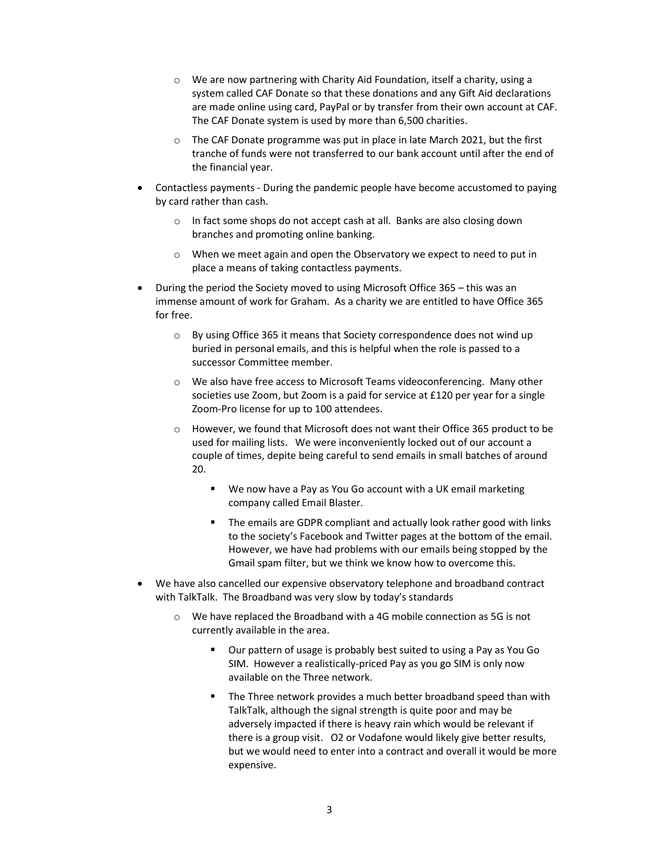- $\circ$  We are now partnering with Charity Aid Foundation, itself a charity, using a system called CAF Donate so that these donations and any Gift Aid declarations are made online using card, PayPal or by transfer from their own account at CAF. The CAF Donate system is used by more than 6,500 charities.
- $\circ$  The CAF Donate programme was put in place in late March 2021, but the first tranche of funds were not transferred to our bank account until after the end of the financial year.
- Contactless payments During the pandemic people have become accustomed to paying by card rather than cash.
	- o In fact some shops do not accept cash at all. Banks are also closing down branches and promoting online banking.
	- o When we meet again and open the Observatory we expect to need to put in place a means of taking contactless payments.
- During the period the Society moved to using Microsoft Office 365 this was an immense amount of work for Graham. As a charity we are entitled to have Office 365 for free.
	- o By using Office 365 it means that Society correspondence does not wind up buried in personal emails, and this is helpful when the role is passed to a successor Committee member.
	- o We also have free access to Microsoft Teams videoconferencing. Many other societies use Zoom, but Zoom is a paid for service at £120 per year for a single Zoom-Pro license for up to 100 attendees.
	- o However, we found that Microsoft does not want their Office 365 product to be used for mailing lists. We were inconveniently locked out of our account a couple of times, depite being careful to send emails in small batches of around 20.
		- We now have a Pay as You Go account with a UK email marketing company called Email Blaster.
		- The emails are GDPR compliant and actually look rather good with links to the society's Facebook and Twitter pages at the bottom of the email. However, we have had problems with our emails being stopped by the Gmail spam filter, but we think we know how to overcome this.
- We have also cancelled our expensive observatory telephone and broadband contract with TalkTalk. The Broadband was very slow by today's standards
	- $\circ$  We have replaced the Broadband with a 4G mobile connection as 5G is not currently available in the area.
		- Our pattern of usage is probably best suited to using a Pay as You Go SIM. However a realistically-priced Pay as you go SIM is only now available on the Three network.
		- The Three network provides a much better broadband speed than with TalkTalk, although the signal strength is quite poor and may be adversely impacted if there is heavy rain which would be relevant if there is a group visit. O2 or Vodafone would likely give better results, but we would need to enter into a contract and overall it would be more expensive.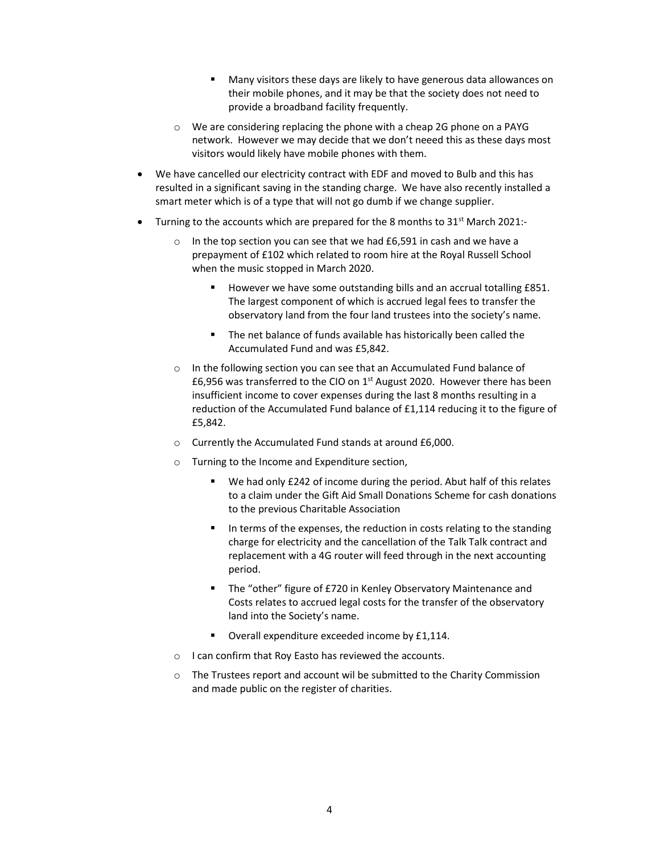- Many visitors these days are likely to have generous data allowances on their mobile phones, and it may be that the society does not need to provide a broadband facility frequently.
- o We are considering replacing the phone with a cheap 2G phone on a PAYG network. However we may decide that we don't neeed this as these days most visitors would likely have mobile phones with them.
- We have cancelled our electricity contract with EDF and moved to Bulb and this has resulted in a significant saving in the standing charge. We have also recently installed a smart meter which is of a type that will not go dumb if we change supplier.
- Turning to the accounts which are prepared for the 8 months to  $31^{st}$  March 2021:
	- o In the top section you can see that we had £6,591 in cash and we have a prepayment of £102 which related to room hire at the Royal Russell School when the music stopped in March 2020.
		- However we have some outstanding bills and an accrual totalling £851. The largest component of which is accrued legal fees to transfer the observatory land from the four land trustees into the society's name.
		- The net balance of funds available has historically been called the Accumulated Fund and was £5,842.
	- o In the following section you can see that an Accumulated Fund balance of £6,956 was transferred to the CIO on 1st August 2020. However there has been insufficient income to cover expenses during the last 8 months resulting in a reduction of the Accumulated Fund balance of £1,114 reducing it to the figure of £5,842.
	- o Currently the Accumulated Fund stands at around £6,000.
	- o Turning to the Income and Expenditure section,
		- We had only £242 of income during the period. Abut half of this relates to a claim under the Gift Aid Small Donations Scheme for cash donations to the previous Charitable Association
		- In terms of the expenses, the reduction in costs relating to the standing charge for electricity and the cancellation of the Talk Talk contract and replacement with a 4G router will feed through in the next accounting period.
		- The "other" figure of £720 in Kenley Observatory Maintenance and Costs relates to accrued legal costs for the transfer of the observatory land into the Society's name.
		- Overall expenditure exceeded income by £1,114.
	- o I can confirm that Roy Easto has reviewed the accounts.
	- o The Trustees report and account wil be submitted to the Charity Commission and made public on the register of charities.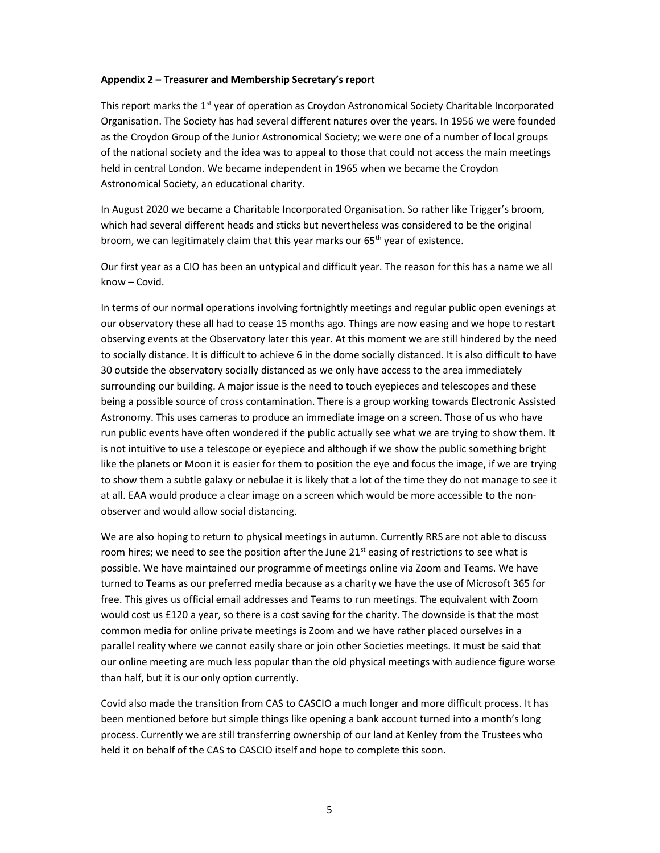## Appendix 2 – Treasurer and Membership Secretary's report

This report marks the 1<sup>st</sup> year of operation as Croydon Astronomical Society Charitable Incorporated Organisation. The Society has had several different natures over the years. In 1956 we were founded as the Croydon Group of the Junior Astronomical Society; we were one of a number of local groups of the national society and the idea was to appeal to those that could not access the main meetings held in central London. We became independent in 1965 when we became the Croydon Astronomical Society, an educational charity.

In August 2020 we became a Charitable Incorporated Organisation. So rather like Trigger's broom, which had several different heads and sticks but nevertheless was considered to be the original broom, we can legitimately claim that this year marks our 65<sup>th</sup> year of existence.

Our first year as a CIO has been an untypical and difficult year. The reason for this has a name we all know – Covid.

In terms of our normal operations involving fortnightly meetings and regular public open evenings at our observatory these all had to cease 15 months ago. Things are now easing and we hope to restart observing events at the Observatory later this year. At this moment we are still hindered by the need to socially distance. It is difficult to achieve 6 in the dome socially distanced. It is also difficult to have 30 outside the observatory socially distanced as we only have access to the area immediately surrounding our building. A major issue is the need to touch eyepieces and telescopes and these being a possible source of cross contamination. There is a group working towards Electronic Assisted Astronomy. This uses cameras to produce an immediate image on a screen. Those of us who have run public events have often wondered if the public actually see what we are trying to show them. It is not intuitive to use a telescope or eyepiece and although if we show the public something bright like the planets or Moon it is easier for them to position the eye and focus the image, if we are trying to show them a subtle galaxy or nebulae it is likely that a lot of the time they do not manage to see it at all. EAA would produce a clear image on a screen which would be more accessible to the nonobserver and would allow social distancing.

We are also hoping to return to physical meetings in autumn. Currently RRS are not able to discuss room hires; we need to see the position after the June 21 $^{\rm st}$  easing of restrictions to see what is possible. We have maintained our programme of meetings online via Zoom and Teams. We have turned to Teams as our preferred media because as a charity we have the use of Microsoft 365 for free. This gives us official email addresses and Teams to run meetings. The equivalent with Zoom would cost us £120 a year, so there is a cost saving for the charity. The downside is that the most common media for online private meetings is Zoom and we have rather placed ourselves in a parallel reality where we cannot easily share or join other Societies meetings. It must be said that our online meeting are much less popular than the old physical meetings with audience figure worse than half, but it is our only option currently.

Covid also made the transition from CAS to CASCIO a much longer and more difficult process. It has been mentioned before but simple things like opening a bank account turned into a month's long process. Currently we are still transferring ownership of our land at Kenley from the Trustees who held it on behalf of the CAS to CASCIO itself and hope to complete this soon.